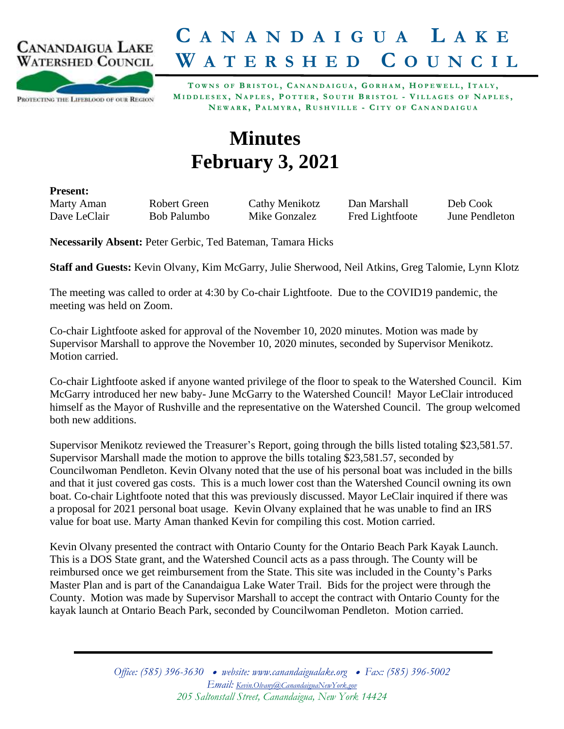

## **C A N A N D A I G U A L A K E W A T E R S H E D C O U N C I L**

PROTECTING THE LIFEBLOOD OF OUR REGION

TOWNS OF BRISTOL, CANANDAIGUA, GORHAM, HOPEWELL, ITALY, MIDDLESEX, NAPLES, POTTER, SOUTH BRISTOL - VILLAGES OF NAPLES, NEWARK, PALMYRA, RUSHVILLE - CITY OF CANANDAIGUA

## **Minutes February 3, 2021**

**Present:**

Marty Aman Robert Green Cathy Menikotz Dan Marshall Deb Cook Dave LeClair Bob Palumbo Mike Gonzalez Fred Lightfoote June Pendleton

**Necessarily Absent:** Peter Gerbic, Ted Bateman, Tamara Hicks

**Staff and Guests:** Kevin Olvany, Kim McGarry, Julie Sherwood, Neil Atkins, Greg Talomie, Lynn Klotz

The meeting was called to order at 4:30 by Co-chair Lightfoote. Due to the COVID19 pandemic, the meeting was held on Zoom.

Co-chair Lightfoote asked for approval of the November 10, 2020 minutes. Motion was made by Supervisor Marshall to approve the November 10, 2020 minutes, seconded by Supervisor Menikotz. Motion carried.

Co-chair Lightfoote asked if anyone wanted privilege of the floor to speak to the Watershed Council. Kim McGarry introduced her new baby- June McGarry to the Watershed Council! Mayor LeClair introduced himself as the Mayor of Rushville and the representative on the Watershed Council. The group welcomed both new additions.

Supervisor Menikotz reviewed the Treasurer's Report, going through the bills listed totaling \$23,581.57. Supervisor Marshall made the motion to approve the bills totaling \$23,581.57, seconded by Councilwoman Pendleton. Kevin Olvany noted that the use of his personal boat was included in the bills and that it just covered gas costs. This is a much lower cost than the Watershed Council owning its own boat. Co-chair Lightfoote noted that this was previously discussed. Mayor LeClair inquired if there was a proposal for 2021 personal boat usage. Kevin Olvany explained that he was unable to find an IRS value for boat use. Marty Aman thanked Kevin for compiling this cost. Motion carried.

Kevin Olvany presented the contract with Ontario County for the Ontario Beach Park Kayak Launch. This is a DOS State grant, and the Watershed Council acts as a pass through. The County will be reimbursed once we get reimbursement from the State. This site was included in the County's Parks Master Plan and is part of the Canandaigua Lake Water Trail. Bids for the project were through the County. Motion was made by Supervisor Marshall to accept the contract with Ontario County for the kayak launch at Ontario Beach Park, seconded by Councilwoman Pendleton. Motion carried.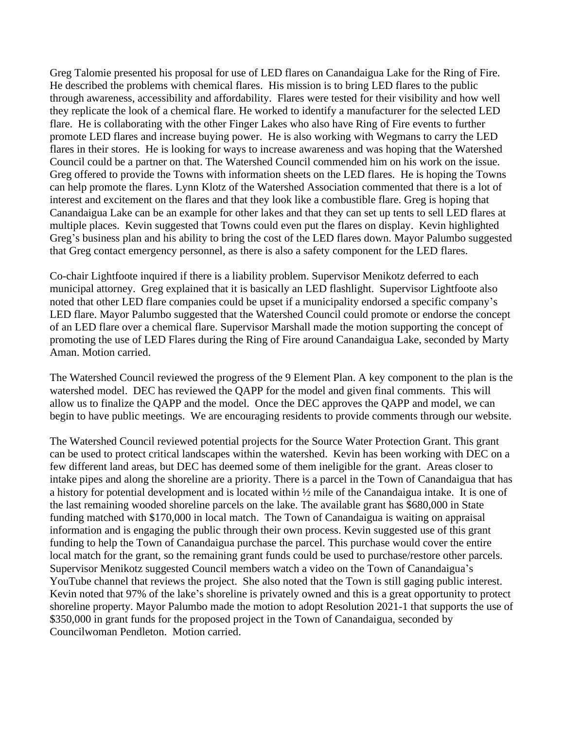Greg Talomie presented his proposal for use of LED flares on Canandaigua Lake for the Ring of Fire. He described the problems with chemical flares. His mission is to bring LED flares to the public through awareness, accessibility and affordability. Flares were tested for their visibility and how well they replicate the look of a chemical flare. He worked to identify a manufacturer for the selected LED flare. He is collaborating with the other Finger Lakes who also have Ring of Fire events to further promote LED flares and increase buying power. He is also working with Wegmans to carry the LED flares in their stores. He is looking for ways to increase awareness and was hoping that the Watershed Council could be a partner on that. The Watershed Council commended him on his work on the issue. Greg offered to provide the Towns with information sheets on the LED flares. He is hoping the Towns can help promote the flares. Lynn Klotz of the Watershed Association commented that there is a lot of interest and excitement on the flares and that they look like a combustible flare. Greg is hoping that Canandaigua Lake can be an example for other lakes and that they can set up tents to sell LED flares at multiple places. Kevin suggested that Towns could even put the flares on display. Kevin highlighted Greg's business plan and his ability to bring the cost of the LED flares down. Mayor Palumbo suggested that Greg contact emergency personnel, as there is also a safety component for the LED flares.

Co-chair Lightfoote inquired if there is a liability problem. Supervisor Menikotz deferred to each municipal attorney. Greg explained that it is basically an LED flashlight. Supervisor Lightfoote also noted that other LED flare companies could be upset if a municipality endorsed a specific company's LED flare. Mayor Palumbo suggested that the Watershed Council could promote or endorse the concept of an LED flare over a chemical flare. Supervisor Marshall made the motion supporting the concept of promoting the use of LED Flares during the Ring of Fire around Canandaigua Lake, seconded by Marty Aman. Motion carried.

The Watershed Council reviewed the progress of the 9 Element Plan. A key component to the plan is the watershed model. DEC has reviewed the QAPP for the model and given final comments. This will allow us to finalize the QAPP and the model. Once the DEC approves the QAPP and model, we can begin to have public meetings. We are encouraging residents to provide comments through our website.

The Watershed Council reviewed potential projects for the Source Water Protection Grant. This grant can be used to protect critical landscapes within the watershed. Kevin has been working with DEC on a few different land areas, but DEC has deemed some of them ineligible for the grant. Areas closer to intake pipes and along the shoreline are a priority. There is a parcel in the Town of Canandaigua that has a history for potential development and is located within ½ mile of the Canandaigua intake. It is one of the last remaining wooded shoreline parcels on the lake. The available grant has \$680,000 in State funding matched with \$170,000 in local match. The Town of Canandaigua is waiting on appraisal information and is engaging the public through their own process. Kevin suggested use of this grant funding to help the Town of Canandaigua purchase the parcel. This purchase would cover the entire local match for the grant, so the remaining grant funds could be used to purchase/restore other parcels. Supervisor Menikotz suggested Council members watch a video on the Town of Canandaigua's YouTube channel that reviews the project. She also noted that the Town is still gaging public interest. Kevin noted that 97% of the lake's shoreline is privately owned and this is a great opportunity to protect shoreline property. Mayor Palumbo made the motion to adopt Resolution 2021-1 that supports the use of \$350,000 in grant funds for the proposed project in the Town of Canandaigua, seconded by Councilwoman Pendleton. Motion carried.